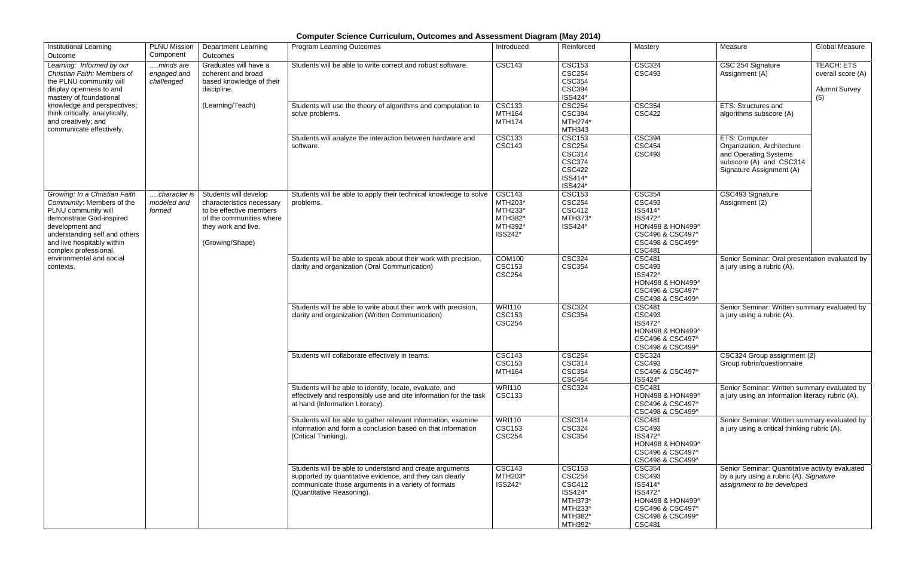## **Computer Science Curriculum, Outcomes and Assessment Diagram (May 2014)**

| <b>Institutional Learning</b><br>Outcome                                                                                                                                                                                                                          | PLNU Mission<br>Component              | <b>Department Learning</b><br>Outcomes                                                                                                              | <b>Program Learning Outcomes</b>                                                                                                                                                                         | Introduced                                                           | Reinforced                                                                                              | Mastery                                                                                                                           | Measure                                                                                                                                                                                                                                                                                                                                                                                                                                                                 | <b>Global Measure</b>                                          |
|-------------------------------------------------------------------------------------------------------------------------------------------------------------------------------------------------------------------------------------------------------------------|----------------------------------------|-----------------------------------------------------------------------------------------------------------------------------------------------------|----------------------------------------------------------------------------------------------------------------------------------------------------------------------------------------------------------|----------------------------------------------------------------------|---------------------------------------------------------------------------------------------------------|-----------------------------------------------------------------------------------------------------------------------------------|-------------------------------------------------------------------------------------------------------------------------------------------------------------------------------------------------------------------------------------------------------------------------------------------------------------------------------------------------------------------------------------------------------------------------------------------------------------------------|----------------------------------------------------------------|
| Learning: Informed by our<br>Christian Faith: Members of<br>the PLNU community will<br>display openness to and<br>mastery of foundational<br>knowledge and perspectives;<br>think critically, analytically,<br>and creatively; and<br>communicate effectively.    | minds are<br>engaged and<br>challenged | Graduates will have a<br>coherent and broad<br>based knowledge of their<br>discipline.<br>(Learning/Teach)                                          | Students will be able to write correct and robust software.                                                                                                                                              | <b>CSC143</b>                                                        | <b>CSC153</b><br><b>CSC254</b><br><b>CSC354</b><br><b>CSC394</b><br>ISS424*                             | <b>CSC324</b><br><b>CSC493</b>                                                                                                    | CSC 254 Signature<br>Assignment (A)                                                                                                                                                                                                                                                                                                                                                                                                                                     | <b>TEACH: ETS</b><br>overall score (A)<br>Alumni Survey<br>(5) |
|                                                                                                                                                                                                                                                                   |                                        |                                                                                                                                                     | Students will use the theory of algorithms and computation to<br>solve problems.                                                                                                                         | <b>CSC133</b><br><b>MTH164</b><br><b>MTH174</b>                      | <b>CSC254</b><br><b>CSC394</b><br>MTH274*<br><b>MTH343</b>                                              | <b>CSC354</b><br><b>CSC422</b>                                                                                                    | <b>ETS: Structures and</b><br>algorithms subscore (A)                                                                                                                                                                                                                                                                                                                                                                                                                   |                                                                |
|                                                                                                                                                                                                                                                                   |                                        |                                                                                                                                                     | Students will analyze the interaction between hardware and<br>software.                                                                                                                                  | <b>CSC133</b><br><b>CSC143</b>                                       | <b>CSC153</b><br><b>CSC254</b><br><b>CSC314</b><br><b>CSC374</b><br><b>CSC422</b><br>ISS414*<br>ISS424* | <b>CSC394</b><br><b>CSC454</b><br><b>CSC493</b>                                                                                   | ETS: Computer<br>Organization, Architecture<br>and Operating Systems<br>subscore (A) and CSC314<br>Signature Assignment (A)                                                                                                                                                                                                                                                                                                                                             |                                                                |
| Growing: In a Christian Faith<br>Community: Members of the<br>PLNU community will<br>demonstrate God-inspired<br>development and<br>understanding self and others<br>and live hospitably within<br>complex professional,<br>environmental and social<br>contexts. | character is<br>modeled and<br>formed  | Students will develop<br>characteristics necessary<br>to be effective members<br>of the communities where<br>they work and live.<br>(Growing/Shape) | Students will be able to apply their technical knowledge to solve<br>problems.                                                                                                                           | <b>CSC143</b><br>MTH203*<br>MTH233*<br>MTH382*<br>MTH392*<br>ISS242* | <b>CSC153</b><br><b>CSC254</b><br><b>CSC412</b><br>MTH373*<br>ISS424*                                   | <b>CSC354</b><br><b>CSC493</b><br>ISS414*<br>ISS472^<br>HON498 & HON499^<br>CSC496 & CSC497^<br>CSC498 & CSC499^<br><b>CSC481</b> | CSC493 Signature<br>Assignment (2)                                                                                                                                                                                                                                                                                                                                                                                                                                      |                                                                |
|                                                                                                                                                                                                                                                                   |                                        |                                                                                                                                                     | Students will be able to speak about their work with precision,<br>clarity and organization (Oral Communication)                                                                                         | <b>COM100</b><br><b>CSC153</b><br><b>CSC254</b>                      | <b>CSC324</b><br><b>CSC354</b>                                                                          | <b>CSC481</b><br><b>CSC493</b><br>ISS472^<br>HON498 & HON499^<br>CSC496 & CSC497^<br>CSC498 & CSC499^                             | Senior Seminar: Oral presentation evaluated by<br>a jury using a rubric (A).                                                                                                                                                                                                                                                                                                                                                                                            |                                                                |
|                                                                                                                                                                                                                                                                   |                                        |                                                                                                                                                     | Students will be able to write about their work with precision,<br>clarity and organization (Written Communication)                                                                                      | <b>WRI110</b><br><b>CSC153</b><br><b>CSC254</b>                      | <b>CSC324</b><br><b>CSC354</b>                                                                          | <b>CSC481</b><br><b>CSC493</b><br>ISS472^<br>HON498 & HON499^<br>CSC496 & CSC497^<br>CSC498 & CSC499^                             | Senior Seminar: Written summary evaluated by<br>a jury using a rubric (A).<br>CSC324 Group assignment (2)<br>Group rubric/questionnaire<br>Senior Seminar: Written summary evaluated by<br>a jury using an information literacy rubric (A).<br>Senior Seminar: Written summary evaluated by<br>a jury using a critical thinking rubric (A).<br>Senior Seminar: Quantitative activity evaluated<br>by a jury using a rubric (A). Signature<br>assignment to be developed |                                                                |
|                                                                                                                                                                                                                                                                   |                                        |                                                                                                                                                     | Students will collaborate effectively in teams.                                                                                                                                                          | <b>CSC143</b><br><b>CSC153</b><br>MTH164                             | <b>CSC254</b><br><b>CSC314</b><br><b>CSC354</b><br><b>CSC454</b>                                        | <b>CSC324</b><br><b>CSC493</b><br>CSC496 & CSC497^<br>ISS424*                                                                     |                                                                                                                                                                                                                                                                                                                                                                                                                                                                         |                                                                |
|                                                                                                                                                                                                                                                                   |                                        |                                                                                                                                                     | Students will be able to identify, locate, evaluate, and<br>effectively and responsibly use and cite information for the task<br>at hand (Information Literacy).                                         | <b>WRI110</b><br><b>CSC133</b>                                       | <b>CSC324</b>                                                                                           | <b>CSC481</b><br>HON498 & HON499^<br>CSC496 & CSC497^<br>CSC498 & CSC499^                                                         |                                                                                                                                                                                                                                                                                                                                                                                                                                                                         |                                                                |
|                                                                                                                                                                                                                                                                   |                                        |                                                                                                                                                     | Students will be able to gather relevant information, examine<br>information and form a conclusion based on that information<br>(Critical Thinking).                                                     | <b>WRI110</b><br><b>CSC153</b><br><b>CSC254</b>                      | <b>CSC314</b><br><b>CSC324</b><br><b>CSC354</b>                                                         | <b>CSC481</b><br><b>CSC493</b><br>ISS472^<br>HON498 & HON499^<br>CSC496 & CSC497^<br>CSC498 & CSC499^                             |                                                                                                                                                                                                                                                                                                                                                                                                                                                                         |                                                                |
|                                                                                                                                                                                                                                                                   |                                        |                                                                                                                                                     | Students will be able to understand and create arguments<br>supported by quantitative evidence, and they can clearly<br>communicate those arguments in a variety of formats<br>(Quantitative Reasoning). | <b>CSC143</b><br>MTH203*<br>ISS242*                                  | <b>CSC153</b><br><b>CSC254</b><br><b>CSC412</b><br>ISS424*<br>MTH373*<br>MTH233*<br>MTH382*<br>MTH392*  | <b>CSC354</b><br><b>CSC493</b><br>ISS414*<br>ISS472^<br>HON498 & HON499^<br>CSC496 & CSC497^<br>CSC498 & CSC499^<br><b>CSC481</b> |                                                                                                                                                                                                                                                                                                                                                                                                                                                                         |                                                                |